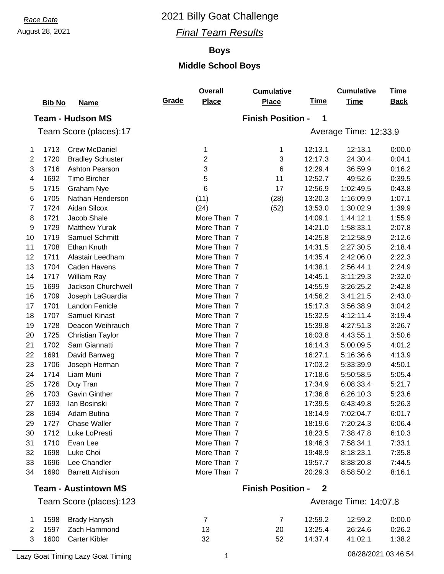#### August 28, 2021 *Final Team Results*

#### **Boys**

#### **Middle School Boys**

|    | <b>Bib No</b> | <b>Name</b>                 | Grade | <b>Overall</b><br><b>Place</b> | <b>Cumulative</b><br><b>Place</b> | <u>Time</u>  | <b>Cumulative</b><br><b>Time</b> | <b>Time</b><br><b>Back</b> |
|----|---------------|-----------------------------|-------|--------------------------------|-----------------------------------|--------------|----------------------------------|----------------------------|
|    |               | <b>Team - Hudson MS</b>     |       |                                | <b>Finish Position -</b>          | 1            |                                  |                            |
|    |               | Team Score (places):17      |       |                                |                                   |              | Average Time: 12:33.9            |                            |
| 1  | 1713          | <b>Crew McDaniel</b>        |       | 1                              | 1                                 | 12:13.1      | 12:13.1                          | 0:00.0                     |
| 2  | 1720          | <b>Bradley Schuster</b>     |       | $\mathbf{2}$                   | 3                                 | 12:17.3      | 24:30.4                          | 0:04.1                     |
| 3  | 1716          | Ashton Pearson              |       | 3                              | $\,6$                             | 12:29.4      | 36:59.9                          | 0:16.2                     |
| 4  | 1692          | <b>Timo Bircher</b>         |       | 5                              | 11                                | 12:52.7      | 49:52.6                          | 0:39.5                     |
| 5  | 1715          | <b>Graham Nye</b>           |       | $6\phantom{1}$                 | 17                                | 12:56.9      | 1:02:49.5                        | 0:43.8                     |
| 6  | 1705          | Nathan Henderson            |       | (11)                           | (28)                              | 13:20.3      | 1:16:09.9                        | 1:07.1                     |
| 7  | 1724          | Aidan Silcox                |       | (24)                           | (52)                              | 13:53.0      | 1:30:02.9                        | 1:39.9                     |
| 8  | 1721          | Jacob Shale                 |       | More Than 7                    |                                   | 14:09.1      | 1:44:12.1                        | 1:55.9                     |
| 9  | 1729          | <b>Matthew Yurak</b>        |       | More Than 7                    |                                   | 14:21.0      | 1:58:33.1                        | 2:07.8                     |
| 10 | 1719          | Samuel Schmitt              |       | More Than 7                    |                                   | 14:25.8      | 2:12:58.9                        | 2:12.6                     |
| 11 | 1708          | <b>Ethan Knuth</b>          |       | More Than 7                    |                                   | 14:31.5      | 2:27:30.5                        | 2:18.4                     |
| 12 | 1711          | Alastair Leedham            |       | More Than 7                    |                                   | 14:35.4      | 2:42:06.0                        | 2:22.3                     |
| 13 | 1704          | <b>Caden Havens</b>         |       | More Than 7                    |                                   | 14:38.1      | 2:56:44.1                        | 2:24.9                     |
| 14 | 1717          | William Ray                 |       | More Than 7                    |                                   | 14:45.1      | 3:11:29.3                        | 2:32.0                     |
| 15 | 1699          | Jackson Churchwell          |       | More Than 7                    |                                   | 14:55.9      | 3:26:25.2                        | 2:42.8                     |
| 16 | 1709          | Joseph LaGuardia            |       | More Than 7                    |                                   | 14:56.2      | 3:41:21.5                        | 2:43.0                     |
| 17 | 1701          | Landon Fenicle              |       | More Than 7                    |                                   | 15:17.3      | 3:56:38.9                        | 3:04.2                     |
| 18 | 1707          | <b>Samuel Kinast</b>        |       | More Than 7                    |                                   | 15:32.5      | 4:12:11.4                        | 3:19.4                     |
| 19 | 1728          | Deacon Weihrauch            |       | More Than 7                    |                                   | 15:39.8      | 4:27:51.3                        | 3:26.7                     |
| 20 | 1725          | <b>Christian Taylor</b>     |       | More Than 7                    |                                   | 16:03.8      | 4:43:55.1                        | 3:50.6                     |
| 21 | 1702          | Sam Giannatti               |       | More Than 7                    |                                   | 16:14.3      | 5:00:09.5                        | 4:01.2                     |
| 22 | 1691          | David Banweg                |       | More Than 7                    |                                   | 16:27.1      | 5:16:36.6                        | 4:13.9                     |
| 23 | 1706          | Joseph Herman               |       | More Than 7                    |                                   | 17:03.2      | 5:33:39.9                        | 4:50.1                     |
| 24 | 1714          | Liam Muni                   |       | More Than 7                    |                                   | 17:18.6      | 5:50:58.5                        | 5:05.4                     |
| 25 | 1726          | Duy Tran                    |       | More Than 7                    |                                   | 17:34.9      | 6:08:33.4                        | 5:21.7                     |
| 26 | 1703          | <b>Gavin Ginther</b>        |       | More Than 7                    |                                   | 17:36.8      | 6:26:10.3                        | 5:23.6                     |
| 27 | 1693          | lan Bosinski                |       | More Than 7                    |                                   | 17:39.5      | 6:43:49.8                        | 5:26.3                     |
| 28 | 1694          | Adam Butina                 |       | More Than 7                    |                                   | 18:14.9      | 7:02:04.7                        | 6:01.7                     |
| 29 | 1727          | <b>Chase Waller</b>         |       | More Than 7                    |                                   | 18:19.6      | 7:20:24.3                        | 6:06.4                     |
| 30 | 1712          | Luke LoPresti               |       | More Than 7                    |                                   | 18:23.5      | 7:38:47.8                        | 6:10.3                     |
| 31 | 1710          | Evan Lee                    |       | More Than 7                    |                                   | 19:46.3      | 7:58:34.1                        | 7:33.1                     |
| 32 | 1698          | Luke Choi                   |       | More Than 7                    |                                   | 19:48.9      | 8:18:23.1                        | 7:35.8                     |
| 33 | 1696          | Lee Chandler                |       | More Than 7                    |                                   | 19:57.7      | 8:38:20.8                        | 7:44.5                     |
| 34 | 1690          | <b>Barrett Atchison</b>     |       | More Than 7                    |                                   | 20:29.3      | 8:58:50.2                        | 8:16.1                     |
|    |               | <b>Team - Austintown MS</b> |       |                                | <b>Finish Position -</b>          | $\mathbf{2}$ |                                  |                            |
|    |               | Team Score (places):123     |       |                                |                                   |              | Average Time: 14:07.8            |                            |
| 1  | 1598          | <b>Brady Hanysh</b>         |       | $\overline{7}$                 | 7                                 | 12:59.2      | 12:59.2                          | 0:00.0                     |

 1597 Zach Hammond 13 20 13:25.4 26:24.6 0:26.2 1600 Carter Kibler 32 52 14:37.4 41:02.1 1:38.2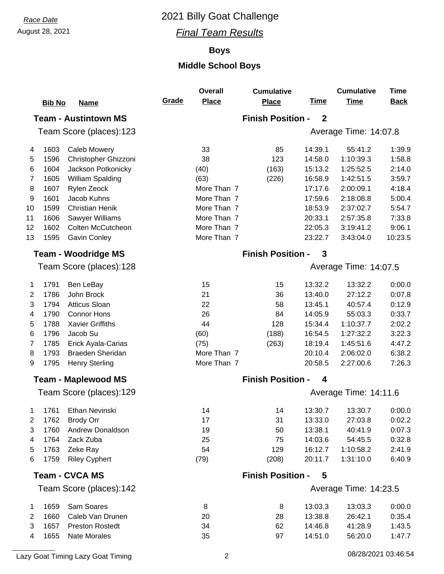### August 28, 2021 *Final Team Results*

#### **Boys**

## **Middle School Boys**

|                |               |                             |       | <b>Overall</b>                | <b>Cumulative</b>        |                  | <b>Cumulative</b>     | <b>Time</b> |
|----------------|---------------|-----------------------------|-------|-------------------------------|--------------------------|------------------|-----------------------|-------------|
|                | <b>Bib No</b> | <b>Name</b>                 | Grade | <b>Place</b>                  | <b>Place</b>             | <b>Time</b>      | <b>Time</b>           | <b>Back</b> |
|                |               | <b>Team - Austintown MS</b> |       |                               | <b>Finish Position -</b> | $\boldsymbol{2}$ |                       |             |
|                |               | Team Score (places):123     |       |                               |                          |                  | Average Time: 14:07.8 |             |
| 4              | 1603          | <b>Caleb Mowery</b>         |       | 33                            | 85                       | 14:39.1          | 55:41.2               | 1:39.9      |
| 5              | 1596          | Christopher Ghizzoni        |       | 38                            | 123                      | 14:58.0          | 1:10:39.3             | 1:58.8      |
| 6              | 1604          | Jackson Potkonicky          |       | (40)                          | (163)                    | 15:13.2          | 1:25:52.5             | 2:14.0      |
| 7              | 1605          | William Spalding            |       | (63)                          | (226)                    | 16:58.9          | 1:42:51.5             | 3:59.7      |
| 8              | 1607          | Rylen Zeock                 |       | More Than 7                   |                          | 17:17.6          | 2:00:09.1             | 4:18.4      |
| 9              | 1601          | Jacob Kuhns                 |       | More Than 7                   |                          | 17:59.6          | 2:18:08.8             | 5:00.4      |
| 10             | 1599          | <b>Christian Henik</b>      |       | More Than 7                   |                          | 18:53.9          | 2:37:02.7             | 5:54.7      |
| 11             | 1606          | Sawyer Williams             |       | More Than 7                   |                          | 20:33.1          | 2:57:35.8             | 7:33.8      |
| 12             | 1602          | Colten McCutcheon           |       | More Than 7                   |                          | 22:05.3          | 3:19:41.2             | 9:06.1      |
| 13             | 1595          | <b>Gavin Conley</b>         |       | More Than 7                   |                          | 23:22.7          | 3:43:04.0             | 10:23.5     |
|                |               | <b>Team - Woodridge MS</b>  |       |                               | <b>Finish Position -</b> | 3                |                       |             |
|                |               | Team Score (places):128     |       |                               |                          |                  | Average Time: 14:07.5 |             |
| 1              | 1791          | Ben LeBay                   |       | 15                            | 15                       | 13:32.2          | 13:32.2               | 0:00.0      |
| 2              | 1786          | John Brock                  |       | 21                            | 36                       | 13:40.0          | 27:12.2               | 0:07.8      |
| 3              | 1794          | <b>Atticus Sloan</b>        |       | 22                            | 58                       | 13:45.1          | 40:57.4               | 0:12.9      |
| 4              | 1790          | <b>Connor Hons</b>          |       | 26                            | 84                       | 14:05.9          | 55:03.3               | 0:33.7      |
| 5              | 1788          | <b>Xavier Griffiths</b>     |       | 44                            | 128                      | 15:34.4          | 1:10:37.7             | 2:02.2      |
| 6              | 1796          | Jacob Su                    |       | (60)                          | (188)                    | 16:54.5          | 1:27:32.2             | 3:22.3      |
| $\overline{7}$ | 1785          | Erick Ayala-Carias          |       | (75)                          | (263)                    | 18:19.4          | 1:45:51.6             | 4:47.2      |
| 8              | 1793          | <b>Braeden Sheridan</b>     |       | More Than 7                   |                          | 20:10.4          | 2:06:02.0             | 6:38.2      |
| 9              | 1795          | <b>Henry Sterling</b>       |       | More Than 7                   |                          | 20:58.5          | 2:27:00.6             | 7:26.3      |
|                |               | <b>Team - Maplewood MS</b>  |       | <b>Finish Position -</b><br>4 |                          |                  |                       |             |
|                |               | Team Score (places):129     |       |                               |                          |                  | Average Time: 14:11.6 |             |
|                |               | 1 1761 Ethan Nevinski       |       | 14                            | 14                       | 13:30.7          | 13:30.7               | 0.00.0      |
| 2              | 1762          | <b>Brody Orr</b>            |       | 17                            | 31                       | 13:33.0          | 27:03.8               | 0:02.2      |
| 3              | 1760          | Andrew Donaldson            |       | 19                            | 50                       | 13:38.1          | 40:41.9               | 0:07.3      |
| 4              | 1764          | Zack Zuba                   |       | 25                            | 75                       | 14:03.6          | 54:45.5               | 0:32.8      |
| 5              | 1763          | Zeke Ray                    |       | 54                            | 129                      | 16:12.7          | 1:10:58.2             | 2:41.9      |
| 6              | 1759          | <b>Riley Cyphert</b>        |       | (79)                          | (208)                    | 20:11.7          | 1:31:10.0             | 6:40.9      |
|                |               | <b>Team - CVCA MS</b>       |       |                               | <b>Finish Position -</b> | 5                |                       |             |
|                |               | Team Score (places):142     |       |                               |                          |                  | Average Time: 14:23.5 |             |
| 1              | 1659          | Sam Soares                  |       | 8                             | 8                        | 13:03.3          | 13:03.3               | 0:00.0      |
| 2              | 1660          | Caleb Van Drunen            |       | 20                            | 28                       | 13:38.8          | 26:42.1               | 0:35.4      |
| 3              | 1657          | <b>Preston Rostedt</b>      |       | 34                            | 62                       | 14:46.8          | 41:28.9               | 1:43.5      |
| 4              | 1655          | <b>Nate Morales</b>         |       | 35                            | 97                       | 14:51.0          | 56:20.0               | 1:47.7      |

Lazy Goat Timing Lazy Goat Timing 2 08/28/2021 03:46:54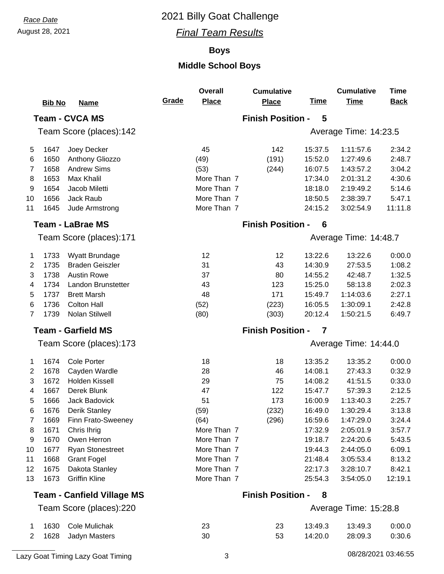### August 28, 2021 *Final Team Results*

#### **Boys**

|                           |               |                                   |       | <b>Overall</b>           | <b>Cumulative</b>        |             | <b>Cumulative</b>     | <b>Time</b> |
|---------------------------|---------------|-----------------------------------|-------|--------------------------|--------------------------|-------------|-----------------------|-------------|
|                           | <b>Bib No</b> | <b>Name</b>                       | Grade | <b>Place</b>             | <b>Place</b>             | <b>Time</b> | <b>Time</b>           | <b>Back</b> |
|                           |               | <b>Team - CVCA MS</b>             |       |                          | <b>Finish Position -</b> | 5           |                       |             |
|                           |               | Team Score (places):142           |       |                          |                          |             | Average Time: 14:23.5 |             |
| 5                         | 1647          | Joey Decker                       |       | 45                       | 142                      | 15:37.5     | 1:11:57.6             | 2:34.2      |
| 6                         | 1650          | Anthony Gliozzo                   |       | (49)                     | (191)                    | 15:52.0     | 1:27:49.6             | 2:48.7      |
| 7                         | 1658          | <b>Andrew Sims</b>                |       | (53)                     | (244)                    | 16:07.5     | 1:43:57.2             | 3:04.2      |
| 8                         | 1653          | Max Khalil                        |       | More Than 7              |                          | 17:34.0     | 2:01:31.2             | 4:30.6      |
| 9                         | 1654          | Jacob Miletti                     |       | More Than 7              |                          | 18:18.0     | 2:19:49.2             | 5:14.6      |
| 10                        | 1656          | Jack Raub                         |       | More Than 7              |                          | 18:50.5     | 2:38:39.7             | 5:47.1      |
| 11                        | 1645          | Jude Armstrong                    |       | More Than 7              |                          | 24:15.2     | 3:02:54.9             | 11:11.8     |
|                           |               | <b>Team - LaBrae MS</b>           |       |                          | <b>Finish Position -</b> | 6           |                       |             |
|                           |               | Team Score (places):171           |       |                          |                          |             | Average Time: 14:48.7 |             |
| 1                         | 1733          | Wyatt Brundage                    |       | 12                       | 12                       | 13:22.6     | 13:22.6               | 0:00.0      |
| 2                         | 1735          | <b>Braden Geiszler</b>            |       | 31                       | 43                       | 14:30.9     | 27:53.5               | 1:08.2      |
| 3                         | 1738          | <b>Austin Rowe</b>                |       | 37                       | 80                       | 14:55.2     | 42:48.7               | 1:32.5      |
| 4                         | 1734          | Landon Brunstetter                |       | 43                       | 123                      | 15:25.0     | 58:13.8               | 2:02.3      |
| 5                         | 1737          | <b>Brett Marsh</b>                |       | 48                       | 171                      | 15:49.7     | 1:14:03.6             | 2:27.1      |
| 6                         | 1736          | <b>Colton Hall</b>                |       | (52)                     | (223)                    | 16:05.5     | 1:30:09.1             | 2:42.8      |
| 7                         | 1739          | Nolan Stilwell                    |       | (80)                     | (303)                    | 20:12.4     | 1:50:21.5             | 6:49.7      |
| <b>Team - Garfield MS</b> |               |                                   |       | <b>Finish Position -</b> | 7                        |             |                       |             |
|                           |               | Team Score (places):173           |       |                          |                          |             | Average Time: 14:44.0 |             |
| 1                         | 1674          | <b>Cole Porter</b>                |       | 18                       | 18                       | 13:35.2     | 13:35.2               | 0:00.0      |
| 2                         | 1678          | Cayden Wardle                     |       | 28                       | 46                       | 14:08.1     | 27:43.3               | 0:32.9      |
| 3                         | 1672          | Holden Kissell                    |       | 29                       | 75                       | 14:08.2     | 41:51.5               | 0:33.0      |
| 4                         | 1667          | Derek Blunk                       |       | 47                       | 122                      | 15:47.7     | 57:39.3               | 2:12.5      |
| 5                         | 1666          | Jack Badovick                     |       | 51                       | 173                      | 16:00.9     | 1:13:40.3             | 2:25.7      |
| 6                         | 1676          | Derik Stanley                     |       | (59)                     | (232)                    | 16:49.0     | 1:30:29.4             | 3:13.8      |
| 7                         | 1669          | Finn Frato-Sweeney                |       | (64)                     | (296)                    | 16:59.6     | 1:47:29.0             | 3:24.4      |
| 8                         | 1671          | Chris Ihrig                       |       | More Than 7              |                          | 17:32.9     | 2:05:01.9             | 3:57.7      |
| 9                         | 1670          | Owen Herron                       |       | More Than 7              |                          | 19:18.7     | 2:24:20.6             | 5:43.5      |
| 10                        | 1677          | <b>Ryan Stonestreet</b>           |       | More Than 7              |                          | 19:44.3     | 2:44:05.0             | 6:09.1      |
| 11                        | 1668          | <b>Grant Fogel</b>                |       | More Than 7              |                          | 21:48.4     | 3:05:53.4             | 8:13.2      |
| 12                        | 1675          | Dakota Stanley                    |       | More Than 7              |                          | 22:17.3     | 3:28:10.7             | 8:42.1      |
| 13                        | 1673          | <b>Griffin Kline</b>              |       | More Than 7              |                          | 25:54.3     | 3:54:05.0             | 12:19.1     |
|                           |               | <b>Team - Canfield Village MS</b> |       |                          | <b>Finish Position -</b> | 8           |                       |             |
|                           |               | Team Score (places):220           |       |                          |                          |             | Average Time: 15:28.8 |             |
| 1                         | 1630          | Cole Mulichak                     |       | 23                       | 23                       | 13:49.3     | 13:49.3               | 0:00.0      |
| 2                         | 1628          | Jadyn Masters                     |       | 30                       | 53                       | 14:20.0     | 28:09.3               | 0:30.6      |
|                           |               |                                   |       |                          |                          |             |                       |             |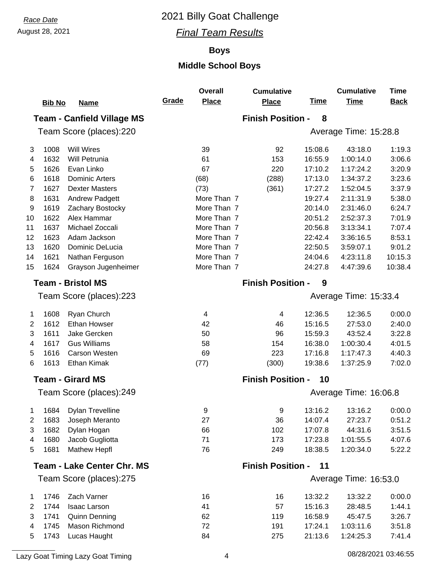### August 28, 2021 *Final Team Results*

#### **Boys**

## **Middle School Boys**

|                          |               |                                   |                                | <b>Overall</b>        | <b>Cumulative</b>        |             | <b>Cumulative</b>     | <b>Time</b> |  |
|--------------------------|---------------|-----------------------------------|--------------------------------|-----------------------|--------------------------|-------------|-----------------------|-------------|--|
|                          | <b>Bib No</b> | <b>Name</b>                       | Grade                          | <b>Place</b>          | <b>Place</b>             | <b>Time</b> | <b>Time</b>           | <b>Back</b> |  |
|                          |               | <b>Team - Canfield Village MS</b> |                                |                       | <b>Finish Position -</b> | 8           |                       |             |  |
|                          |               | Team Score (places):220           |                                |                       |                          |             | Average Time: 15:28.8 |             |  |
| 3                        | 1008          | <b>Will Wires</b>                 |                                | 39                    | 92                       | 15:08.6     | 43:18.0               | 1:19.3      |  |
| 4                        | 1632          | Will Petrunia                     |                                | 61                    | 153                      | 16:55.9     | 1:00:14.0             | 3:06.6      |  |
| 5                        | 1626          | Evan Linko                        |                                | 67                    | 220                      | 17:10.2     | 1:17:24.2             | 3:20.9      |  |
| 6                        | 1618          | <b>Dominic Arters</b>             |                                | (68)                  | (288)                    | 17:13.0     | 1:34:37.2             | 3:23.6      |  |
| $\overline{7}$           | 1627          | <b>Dexter Masters</b>             |                                | (73)                  | (361)                    | 17:27.2     | 1:52:04.5             | 3:37.9      |  |
| 8                        | 1631          | <b>Andrew Padgett</b>             |                                | More Than 7           |                          | 19:27.4     | 2:11:31.9             | 5:38.0      |  |
| 9                        | 1619          | Zachary Bostocky                  |                                | More Than 7           |                          | 20:14.0     | 2:31:46.0             | 6:24.7      |  |
| 10                       | 1622          | Alex Hammar                       |                                | More Than 7           |                          | 20:51.2     | 2:52:37.3             | 7:01.9      |  |
| 11                       | 1637          | Michael Zoccali                   |                                | More Than 7           |                          | 20:56.8     | 3:13:34.1             | 7:07.4      |  |
| 12                       | 1623          | Adam Jackson                      |                                | More Than 7           |                          | 22:42.4     | 3:36:16.5             | 8:53.1      |  |
| 13                       | 1620          | Dominic DeLucia                   |                                | More Than 7           |                          | 22:50.5     | 3:59:07.1             | 9:01.2      |  |
| 14                       | 1621          | Nathan Ferguson                   |                                | More Than 7           |                          | 24:04.6     | 4:23:11.8             | 10:15.3     |  |
| 15                       | 1624          | Grayson Jugenheimer               |                                | More Than 7           |                          | 24:27.8     | 4:47:39.6             | 10:38.4     |  |
| <b>Team - Bristol MS</b> |               |                                   |                                |                       | <b>Finish Position -</b> | 9           |                       |             |  |
|                          |               | Team Score (places):223           |                                | Average Time: 15:33.4 |                          |             |                       |             |  |
| 1                        | 1608          | Ryan Church                       |                                | 4                     | 4                        | 12:36.5     | 12:36.5               | 0:00.0      |  |
| 2                        | 1612          | <b>Ethan Howser</b>               |                                | 42                    | 46                       | 15:16.5     | 27:53.0               | 2:40.0      |  |
| 3                        | 1611          | Jake Gercken                      |                                | 50                    | 96                       | 15:59.3     | 43:52.4               | 3:22.8      |  |
| 4                        | 1617          | <b>Gus Williams</b>               |                                | 58                    | 154                      | 16:38.0     | 1:00:30.4             | 4:01.5      |  |
| 5                        | 1616          | <b>Carson Westen</b>              |                                | 69                    | 223                      | 17:16.8     | 1:17:47.3             | 4:40.3      |  |
| 6                        | 1613          | <b>Ethan Kimak</b>                |                                | (77)                  | (300)                    | 19:38.6     | 1:37:25.9             | 7:02.0      |  |
|                          |               | <b>Team - Girard MS</b>           | <b>Finish Position -</b><br>10 |                       |                          |             |                       |             |  |
|                          |               | Team Score (places):249           |                                |                       |                          |             | Average Time: 16:06.8 |             |  |
| $\mathbf{1}$             |               | 1684 Dylan Trevelline             |                                | 9                     | 9                        | 13:16.2     | 13:16.2               | 0:00.0      |  |
| 2                        | 1683          | Joseph Meranto                    |                                | 27                    | 36                       | 14:07.4     | 27:23.7               | 0:51.2      |  |
| 3                        | 1682          | Dylan Hogan                       |                                | 66                    | 102                      | 17:07.8     | 44:31.6               | 3:51.5      |  |
| 4                        | 1680          | Jacob Gugliotta                   |                                | 71                    | 173                      | 17:23.8     | 1:01:55.5             | 4:07.6      |  |
| 5                        | 1681          | <b>Mathew Hepfl</b>               |                                | 76                    | 249                      | 18:38.5     | 1:20:34.0             | 5:22.2      |  |
|                          |               | <b>Team - Lake Center Chr. MS</b> |                                |                       | <b>Finish Position -</b> | 11          |                       |             |  |
|                          |               | Team Score (places):275           |                                |                       |                          |             | Average Time: 16:53.0 |             |  |
| 1                        | 1746          | Zach Varner                       |                                | 16                    | 16                       | 13:32.2     | 13:32.2               | 0:00.0      |  |
| 2                        | 1744          | <b>Isaac Larson</b>               |                                | 41                    | 57                       | 15:16.3     | 28:48.5               | 1:44.1      |  |
| 3                        | 1741          | <b>Quinn Denning</b>              |                                | 62                    | 119                      | 16:58.9     | 45:47.5               | 3:26.7      |  |
| 4                        | 1745          | Mason Richmond                    |                                | 72                    | 191                      | 17:24.1     | 1:03:11.6             | 3:51.8      |  |
| 5                        | 1743          | Lucas Haught                      |                                | 84                    | 275                      | 21:13.6     | 1:24:25.3             | 7:41.4      |  |
|                          |               |                                   |                                |                       |                          |             |                       |             |  |

Lazy Goat Timing Lazy Goat Timing 2001 120 August 2008/2021 12:46:55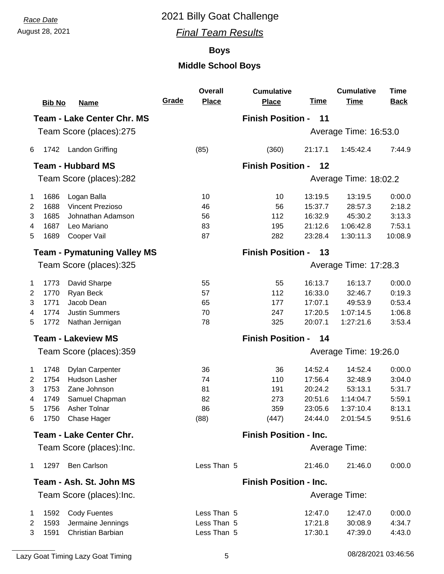## August 28, 2021 *Final Team Results*

#### **Boys**

|                |               |                                    | Grade                         | <b>Overall</b><br><b>Place</b> | <b>Cumulative</b>             | <u>Time</u> | <b>Cumulative</b><br><b>Time</b> | <b>Time</b><br><b>Back</b> |  |
|----------------|---------------|------------------------------------|-------------------------------|--------------------------------|-------------------------------|-------------|----------------------------------|----------------------------|--|
|                | <b>Bib No</b> | <b>Name</b>                        |                               |                                | <b>Place</b>                  |             |                                  |                            |  |
|                |               | <b>Team - Lake Center Chr. MS</b>  |                               |                                | <b>Finish Position -</b>      | 11          |                                  |                            |  |
|                |               | Team Score (places):275            |                               |                                |                               |             | Average Time: 16:53.0            |                            |  |
| 6              | 1742          | <b>Landon Griffing</b>             |                               | (85)                           | (360)                         | 21:17.1     | 1:45:42.4                        | 7:44.9                     |  |
|                |               | <b>Team - Hubbard MS</b>           |                               |                                | <b>Finish Position -</b>      | 12          |                                  |                            |  |
|                |               | Team Score (places):282            |                               |                                |                               |             | Average Time: 18:02.2            |                            |  |
| $\mathbf 1$    | 1686          | Logan Balla                        |                               | 10                             | 10                            | 13:19.5     | 13:19.5                          | 0:00.0                     |  |
| 2              | 1688          | <b>Vincent Prezioso</b>            |                               | 46                             | 56                            | 15:37.7     | 28:57.3                          | 2:18.2                     |  |
| 3              | 1685          | Johnathan Adamson                  |                               | 56                             | 112                           | 16:32.9     | 45:30.2                          | 3:13.3                     |  |
| 4              | 1687          | Leo Mariano                        |                               | 83                             | 195                           | 21:12.6     | 1:06:42.8                        | 7:53.1                     |  |
| 5              | 1689          | Cooper Vail                        |                               | 87                             | 282                           | 23:28.4     | 1:30:11.3                        | 10:08.9                    |  |
|                |               | <b>Team - Pymatuning Valley MS</b> |                               |                                | <b>Finish Position -</b>      | 13          |                                  |                            |  |
|                |               | Team Score (places):325            |                               |                                |                               |             | Average Time: 17:28.3            |                            |  |
| 1              | 1773          | David Sharpe                       |                               | 55                             | 55                            | 16:13.7     | 16:13.7                          | 0:00.0                     |  |
| $\overline{2}$ | 1770          | Ryan Beck                          |                               | 57                             | 112                           | 16:33.0     | 32:46.7                          | 0:19.3                     |  |
| 3              | 1771          | Jacob Dean                         |                               | 65                             | 177                           | 17:07.1     | 49:53.9                          | 0:53.4                     |  |
| 4              | 1774          | <b>Justin Summers</b>              |                               | 70                             | 247                           | 17:20.5     | 1:07:14.5                        | 1:06.8                     |  |
| 5              | 1772          | Nathan Jernigan                    |                               | 78                             | 325                           | 20:07.1     | 1:27:21.6                        | 3:53.4                     |  |
|                |               | <b>Team - Lakeview MS</b>          |                               |                                | <b>Finish Position -</b>      | 14          |                                  |                            |  |
|                |               | Team Score (places):359            |                               |                                |                               |             | Average Time: 19:26.0            |                            |  |
| $\mathbf 1$    | 1748          | <b>Dylan Carpenter</b>             |                               | 36                             | 36                            | 14:52.4     | 14:52.4                          | 0:00.0                     |  |
| $\overline{2}$ | 1754          | Hudson Lasher                      |                               | 74                             | 110                           | 17:56.4     | 32:48.9                          | 3:04.0                     |  |
| 3              | 1753          | Zane Johnson                       |                               | 81                             | 191                           | 20:24.2     | 53:13.1                          | 5:31.7                     |  |
| 4              | 1749          | Samuel Chapman                     |                               | 82                             | 273                           | 20:51.6     | 1:14:04.7                        | 5:59.1                     |  |
| 5              | 1756          | Asher Tolnar                       |                               | 86                             | 359                           | 23:05.6     | 1:37:10.4                        | 8:13.1                     |  |
| 6              | 1750          | Chase Hager                        |                               | (88)                           | (447)                         | 24:44.0     | 2:01:54.5                        | 9:51.6                     |  |
|                |               | <b>Team - Lake Center Chr.</b>     | <b>Finish Position - Inc.</b> |                                |                               |             |                                  |                            |  |
|                |               | Team Score (places): Inc.          |                               |                                |                               |             | Average Time:                    |                            |  |
| 1              | 1297          | <b>Ben Carlson</b>                 |                               | Less Than 5                    |                               | 21:46.0     | 21:46.0                          | 0:00.0                     |  |
|                |               | Team - Ash. St. John MS            |                               |                                | <b>Finish Position - Inc.</b> |             |                                  |                            |  |
|                |               | Team Score (places): Inc.          |                               |                                |                               |             | Average Time:                    |                            |  |
| $\mathbf 1$    | 1592          | <b>Cody Fuentes</b>                |                               | Less Than 5                    |                               | 12:47.0     | 12:47.0                          | 0:00.0                     |  |
| 2              | 1593          | Jermaine Jennings                  |                               | Less Than 5                    |                               | 17:21.8     | 30:08.9                          | 4:34.7                     |  |
| 3              | 1591          | Christian Barbian                  |                               | Less Than 5                    |                               | 17:30.1     | 47:39.0                          | 4:43.0                     |  |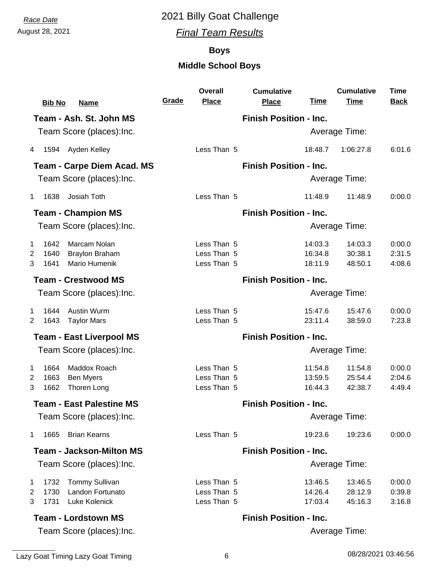August 28, 2021 *Final Team Results*

#### **Boys**

| <b>Bib No</b>              | <b>Name</b>                       | Grade | <b>Overall</b><br><b>Place</b> | <b>Cumulative</b><br><b>Place</b> | <u>Time</u> | <b>Cumulative</b><br><b>Time</b> | <b>Time</b><br><b>Back</b> |
|----------------------------|-----------------------------------|-------|--------------------------------|-----------------------------------|-------------|----------------------------------|----------------------------|
|                            | Team - Ash. St. John MS           |       |                                | <b>Finish Position - Inc.</b>     |             |                                  |                            |
|                            | Team Score (places): Inc.         |       |                                |                                   |             | Average Time:                    |                            |
| 1594 Ayden Kelley<br>4     |                                   |       | Less Than 5                    |                                   | 18:48.7     | 1:06:27.8                        | 6:01.6                     |
|                            | <b>Team - Carpe Diem Acad. MS</b> |       |                                | <b>Finish Position - Inc.</b>     |             |                                  |                            |
|                            | Team Score (places): Inc.         |       |                                |                                   |             | Average Time:                    |                            |
| 1638<br>1                  | Josiah Toth                       |       | Less Than 5                    |                                   | 11:48.9     | 11:48.9                          | 0:00.0                     |
| <b>Team - Champion MS</b>  |                                   |       |                                | <b>Finish Position - Inc.</b>     |             |                                  |                            |
|                            | Team Score (places): Inc.         |       |                                |                                   |             | Average Time:                    |                            |
| 1642<br>$\mathbf{1}$       | Marcam Nolan                      |       | Less Than 5                    |                                   | 14:03.3     | 14:03.3                          | 0:00.0                     |
| 1640<br>2                  | <b>Braylon Braham</b>             |       | Less Than 5                    |                                   | 16:34.8     | 30:38.1                          | 2:31.5                     |
| 3<br>1641                  | <b>Mario Humenik</b>              |       | Less Than 5                    |                                   | 18:11.9     | 48:50.1                          | 4:08.6                     |
| <b>Team - Crestwood MS</b> |                                   |       |                                | <b>Finish Position - Inc.</b>     |             |                                  |                            |
|                            | Team Score (places): Inc.         |       |                                |                                   |             | Average Time:                    |                            |
| 1644<br>1                  | Austin Wurm                       |       | Less Than 5                    |                                   | 15:47.6     | 15:47.6                          | 0:00.0                     |
| 1643<br>2                  | <b>Taylor Mars</b>                |       | Less Than 5                    |                                   | 23:11.4     | 38:59.0                          | 7:23.8                     |
|                            | <b>Team - East Liverpool MS</b>   |       |                                | <b>Finish Position - Inc.</b>     |             |                                  |                            |
|                            | Team Score (places): Inc.         |       |                                |                                   |             | Average Time:                    |                            |
| 1664<br>1                  | Maddox Roach                      |       | Less Than 5                    |                                   | 11:54.8     | 11:54.8                          | 0:00.0                     |
| 1663<br>2                  | <b>Ben Myers</b>                  |       | Less Than 5                    |                                   | 13:59.5     | 25:54.4                          | 2:04.6                     |
| 1662<br>3                  | Thoren Long                       |       | Less Than 5                    |                                   | 16:44.3     | 42:38.7                          | 4:49.4                     |
|                            | <b>Team - East Palestine MS</b>   |       |                                | <b>Finish Position - Inc.</b>     |             |                                  |                            |
|                            | Team Score (places): Inc.         |       |                                |                                   |             | Average Time:                    |                            |
| 1665<br>1                  | <b>Brian Kearns</b>               |       | Less Than 5                    |                                   | 19:23.6     | 19:23.6                          | 0:00.0                     |
|                            | <b>Team - Jackson-Milton MS</b>   |       |                                | <b>Finish Position - Inc.</b>     |             |                                  |                            |
|                            | Team Score (places): Inc.         |       |                                |                                   |             | Average Time:                    |                            |
| 1732<br>1                  | <b>Tommy Sullivan</b>             |       | Less Than 5                    |                                   | 13:46.5     | 13:46.5                          | 0:00.0                     |
| 1730<br>$\overline{2}$     | Landon Fortunato                  |       | Less Than 5                    |                                   | 14:26.4     | 28:12.9                          | 0:39.8                     |
| 3<br>1731                  | Luke Kolenick                     |       | Less Than 5                    |                                   | 17:03.4     | 45:16.3                          | 3:16.8                     |
| <b>Team - Lordstown MS</b> |                                   |       |                                | <b>Finish Position - Inc.</b>     |             |                                  |                            |
|                            | Team Score (places): Inc.         |       |                                |                                   |             | Average Time:                    |                            |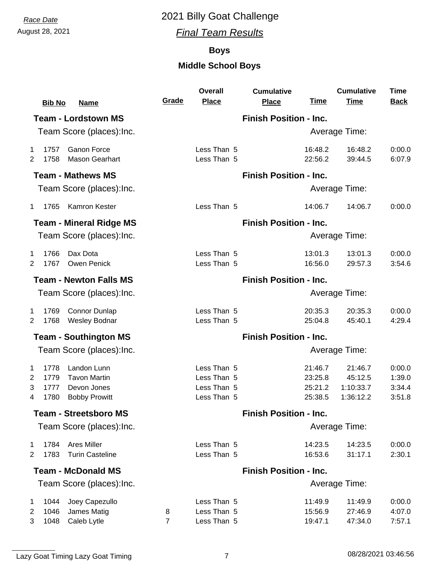### August 28, 2021 *Final Team Results*

#### **Boys**

|                | <b>Bib No</b> | <b>Name</b>                                 | Grade                         | <b>Overall</b><br><b>Place</b> | <b>Cumulative</b><br><b>Place</b> | <u>Time</u>        | <b>Cumulative</b><br><b>Time</b> | Time<br><b>Back</b> |
|----------------|---------------|---------------------------------------------|-------------------------------|--------------------------------|-----------------------------------|--------------------|----------------------------------|---------------------|
|                |               | <b>Team - Lordstown MS</b>                  |                               |                                | <b>Finish Position - Inc.</b>     |                    |                                  |                     |
|                |               | Team Score (places): Inc.                   |                               |                                |                                   |                    | Average Time:                    |                     |
| 1<br>2         | 1757<br>1758  | <b>Ganon Force</b><br><b>Mason Gearhart</b> |                               | Less Than 5<br>Less Than 5     |                                   | 16:48.2<br>22:56.2 | 16:48.2<br>39:44.5               | 0:00.0<br>6:07.9    |
|                |               | <b>Team - Mathews MS</b>                    |                               |                                | <b>Finish Position - Inc.</b>     |                    |                                  |                     |
|                |               | Team Score (places): Inc.                   |                               |                                |                                   |                    | Average Time:                    |                     |
| $\mathbf 1$    | 1765          | Kamron Kester                               |                               | Less Than 5                    |                                   | 14:06.7            | 14:06.7                          | 0:00.0              |
|                |               | <b>Team - Mineral Ridge MS</b>              |                               |                                | <b>Finish Position - Inc.</b>     |                    |                                  |                     |
|                |               | Team Score (places): Inc.                   |                               |                                |                                   |                    | <b>Average Time:</b>             |                     |
| 1              | 1766          | Dax Dota                                    |                               | Less Than 5                    |                                   | 13:01.3            | 13:01.3                          | 0:00.0              |
| 2              | 1767          | Owen Penick                                 |                               | Less Than 5                    |                                   | 16:56.0            | 29:57.3                          | 3:54.6              |
|                |               | <b>Team - Newton Falls MS</b>               | <b>Finish Position - Inc.</b> |                                |                                   |                    |                                  |                     |
|                |               | Team Score (places): Inc.                   |                               |                                |                                   |                    | Average Time:                    |                     |
| 1              | 1769          | <b>Connor Dunlap</b>                        |                               | Less Than 5                    |                                   | 20:35.3            | 20:35.3                          | 0:00.0              |
| $\overline{2}$ | 1768          | <b>Wesley Bodnar</b>                        |                               | Less Than 5                    |                                   | 25:04.8            | 45:40.1                          | 4:29.4              |
|                |               | <b>Team - Southington MS</b>                |                               |                                | <b>Finish Position - Inc.</b>     |                    |                                  |                     |
|                |               | Team Score (places): Inc.                   |                               |                                |                                   |                    | Average Time:                    |                     |
| 1              | 1778          | Landon Lunn                                 |                               | Less Than 5                    |                                   | 21:46.7            | 21:46.7                          | 0:00.0              |
| $\overline{2}$ | 1779          | <b>Tavon Martin</b>                         |                               | Less Than 5                    |                                   | 23:25.8            | 45:12.5                          | 1:39.0              |
| 3<br>4         | 1777<br>1780  | Devon Jones<br><b>Bobby Prowitt</b>         |                               | Less Than 5<br>Less Than 5     |                                   | 25:21.2<br>25:38.5 | 1:10:33.7<br>1:36:12.2           | 3:34.4<br>3:51.8    |
|                |               |                                             |                               |                                |                                   |                    |                                  |                     |
|                |               | <b>Team - Streetsboro MS</b>                |                               |                                | <b>Finish Position - Inc.</b>     |                    |                                  |                     |
|                |               | Team Score (places): Inc.                   |                               |                                |                                   |                    | Average Time:                    |                     |
| 1              | 1784          | <b>Ares Miller</b>                          |                               | Less Than 5                    |                                   | 14:23.5            | 14:23.5                          | 0:00.0              |
| 2              | 1783          | <b>Turin Casteline</b>                      |                               | Less Than 5                    |                                   | 16:53.6            | 31:17.1                          | 2:30.1              |
|                |               | <b>Team - McDonald MS</b>                   |                               |                                | <b>Finish Position - Inc.</b>     |                    |                                  |                     |
|                |               | Team Score (places): Inc.                   |                               |                                |                                   |                    | Average Time:                    |                     |
| 1              | 1044          | Joey Capezullo                              |                               | Less Than 5                    |                                   | 11:49.9            | 11:49.9                          | 0:00.0              |
| 2              | 1046          | James Matig                                 | 8                             | Less Than 5                    |                                   | 15:56.9            | 27:46.9                          | 4:07.0              |
| 3              | 1048          | Caleb Lytle                                 | $\overline{7}$                | Less Than 5                    |                                   | 19:47.1            | 47:34.0                          | 7:57.1              |